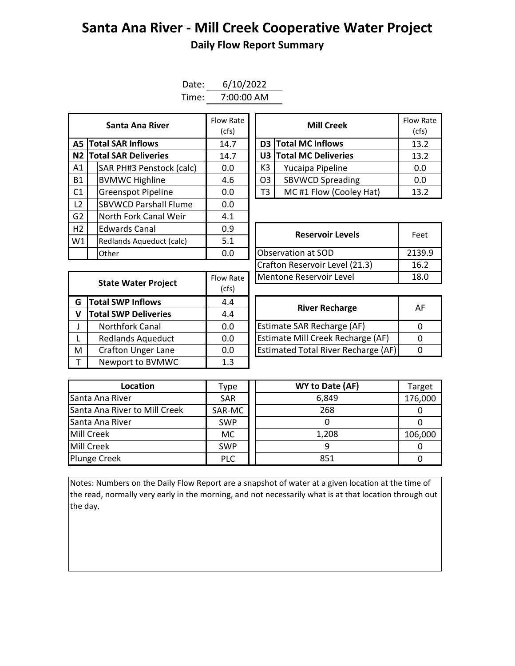## **Santa Ana River - Mill Creek Cooperative Water Project Daily Flow Report Summary**

| Date: | 6/10/2022  |
|-------|------------|
| Time: | 7:00:00 AM |

|                |                             | Santa Ana River              | Flow Rate<br>(cfs) | <b>Mill Creek</b> |                            |       |
|----------------|-----------------------------|------------------------------|--------------------|-------------------|----------------------------|-------|
|                | <b>A5 Total SAR Inflows</b> |                              | 14.7               |                   | <b>D3</b> Total MC Inflows | 13.2  |
|                |                             | N2 Total SAR Deliveries      | 14.7               |                   | U3 Total MC Deliveries     | 13.2  |
| A1             |                             | SAR PH#3 Penstock (calc)     | 0.0                | K3                | Yucaipa Pipeline           | 0.0   |
| <b>B1</b>      |                             | <b>BVMWC Highline</b>        | 4.6                | O <sub>3</sub>    | <b>SBVWCD Spreading</b>    | 0.0   |
| C <sub>1</sub> |                             | <b>Greenspot Pipeline</b>    | 0.0                | T3                | MC#1 Flow (Cooley Hat)     | 13.2  |
| L <sub>2</sub> |                             | <b>SBVWCD Parshall Flume</b> | 0.0                |                   |                            |       |
| G2             |                             | North Fork Canal Weir        | 4.1                |                   |                            |       |
| H2             |                             | <b>Edwards Canal</b>         | 0.9                |                   | <b>Reservoir Levels</b>    | Feet  |
| W1             |                             | Redlands Aqueduct (calc)     | 5.1                |                   |                            |       |
|                |                             | Other                        | 0.0                |                   | Observation at SOD         | 2139. |

| Santa Ana River         | Flow Rate<br>(cfs) |                | <b>Mill Creek</b>       | Flow Rate<br>(cfs) |
|-------------------------|--------------------|----------------|-------------------------|--------------------|
| <b>I SAR Inflows</b>    | 14.7               |                | D3 Total MC Inflows     | 13.2               |
| <b>I SAR Deliveries</b> | 14.7               |                | U3 Total MC Deliveries  | 13.2               |
| AR PH#3 Penstock (calc) | 0.0                | K3             | Yucaipa Pipeline        | 0.0                |
| /MWC Highline           | 4.6                | O <sub>3</sub> | <b>SBVWCD Spreading</b> | 0.0                |
| reenspot Pipeline       | 0.0                | T3             | MC#1 Flow (Cooley Hat)  | 13.2               |

| <b>Edwards Canal</b><br>0.9<br>5.1<br>Redlands Aqueduct (calc) |           | <b>Reservoir Levels</b>        | Feet   |  |
|----------------------------------------------------------------|-----------|--------------------------------|--------|--|
|                                                                |           |                                |        |  |
| Other                                                          | 0.0       | Observation at SOD             | 2139.9 |  |
|                                                                |           | Crafton Reservoir Level (21.3) | 16.2   |  |
| <b>State Water Project</b>                                     | Flow Rate | Mentone Reservoir Level        | 18.0   |  |
|                                                                |           |                                |        |  |

|                               | Flow Rate                  | Mentone Reservoir Level                    |                       |  |  |  |
|-------------------------------|----------------------------|--------------------------------------------|-----------------------|--|--|--|
|                               | (cfs)                      |                                            |                       |  |  |  |
| <b>Total SWP Inflows</b><br>G |                            |                                            | A                     |  |  |  |
| <b>Total SWP Deliveries</b>   | 4.4                        |                                            |                       |  |  |  |
| <b>Northfork Canal</b>        | 0.0                        | Estimate SAR Recharge (AF)                 | $\Omega$              |  |  |  |
| <b>Redlands Aqueduct</b>      | 0.0                        | Estimate Mill Creek Recharge (AF)          | $\Omega$              |  |  |  |
| <b>Crafton Unger Lane</b>     | 0.0                        | <b>Estimated Total River Recharge (AF)</b> | 0                     |  |  |  |
| Newport to BVMWC              | 1.3                        |                                            |                       |  |  |  |
|                               | <b>State Water Project</b> | 4.4                                        | <b>River Recharge</b> |  |  |  |

| <b>River Recharge</b>                      | ΑF |
|--------------------------------------------|----|
| Estimate SAR Recharge (AF)                 |    |
| Estimate Mill Creek Recharge (AF)          |    |
| <b>Estimated Total River Recharge (AF)</b> |    |

| Location                      | Type       | WY to Date (AF) | Target  |
|-------------------------------|------------|-----------------|---------|
| Santa Ana River               | <b>SAR</b> | 6,849           | 176,000 |
| Santa Ana River to Mill Creek | SAR-MC     | 268             |         |
| Santa Ana River               | <b>SWP</b> |                 |         |
| Mill Creek                    | МC         | 1,208           | 106,000 |
| Mill Creek                    | <b>SWP</b> |                 |         |
| <b>Plunge Creek</b>           | <b>PLC</b> | 851             |         |

Notes: Numbers on the Daily Flow Report are a snapshot of water at a given location at the time of the read, normally very early in the morning, and not necessarily what is at that location through out the day.